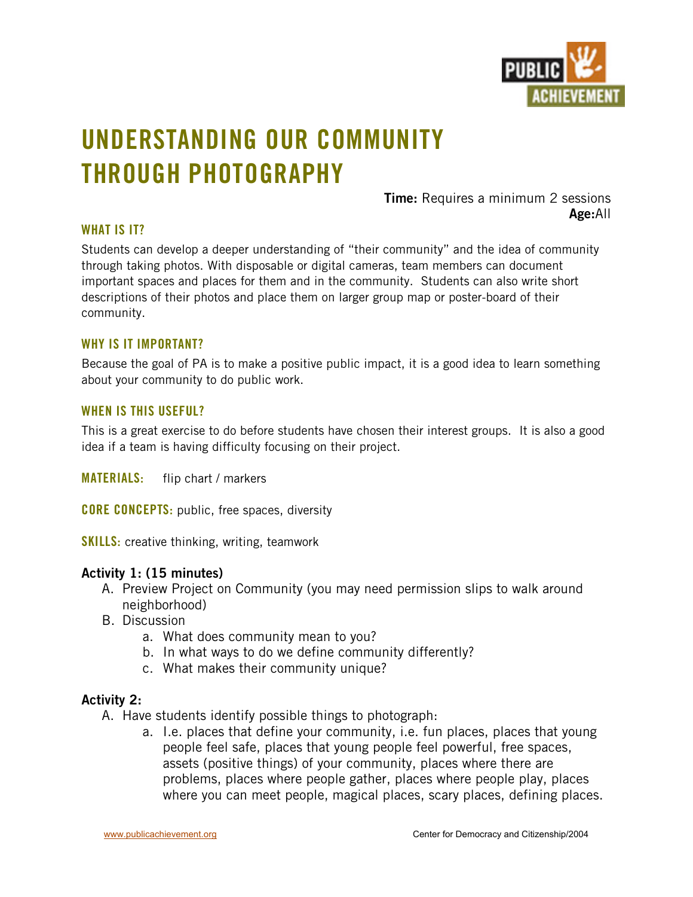

# **UNDERSTANDING OUR COMMUNITY THROUGH PHOTOGRAPHY**

**Time:** Requires a minimum 2 sessions **Age:**All

### **WHAT IS IT?**

Students can develop a deeper understanding of "their community" and the idea of community through taking photos. With disposable or digital cameras, team members can document important spaces and places for them and in the community. Students can also write short descriptions of their photos and place them on larger group map or poster-board of their community.

#### **WHY IS IT IMPORTANT?**

Because the goal of PA is to make a positive public impact, it is a good idea to learn something about your community to do public work.

#### **WHEN IS THIS USEFUL?**

This is a great exercise to do before students have chosen their interest groups. It is also a good idea if a team is having difficulty focusing on their project.

**MATERIALS:** flip chart / markers

**CORE CONCEPTS:** public, free spaces, diversity

**SKILLS:** creative thinking, writing, teamwork

#### **Activity 1: (15 minutes)**

- A. Preview Project on Community (you may need permission slips to walk around neighborhood)
- B. Discussion
	- a. What does community mean to you?
	- b. In what ways to do we define community differently?
	- c. What makes their community unique?

#### **Activity 2:**

A. Have students identify possible things to photograph:

a. I.e. places that define your community, i.e. fun places, places that young people feel safe, places that young people feel powerful, free spaces, assets (positive things) of your community, places where there are problems, places where people gather, places where people play, places where you can meet people, magical places, scary places, defining places.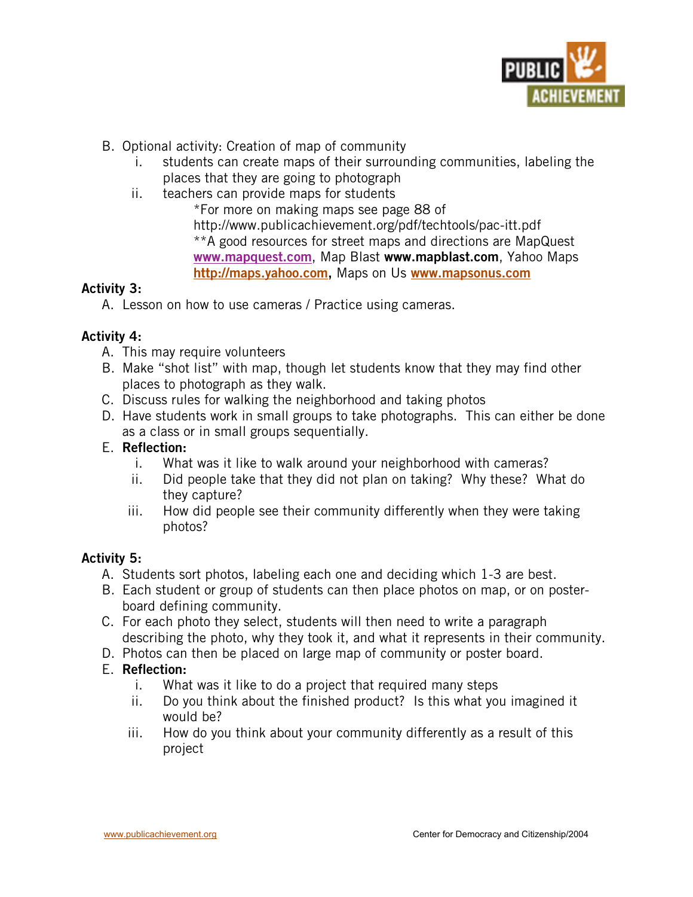

- B. Optional activity: Creation of map of community
	- i. students can create maps of their surrounding communities, labeling the places that they are going to photograph
	- ii. teachers can provide maps for students

\*For more on making maps see page 88 of http://www.publicachievement.org/pdf/techtools/pac-itt.pdf \*\*A good resources for street maps and directions are MapQuest **www.mapquest.com** , Map Blast **www.mapblast.com**, Yahoo Maps **http://maps.yahoo.com ,** Maps on Us **www.mapsonus.com** 

# **Activity 3:**

A. Lesson on how to use cameras / Practice using cameras.

# **Activity 4:**

- A. This may require volunteers
- B. Make "shot list" with map, though let students know that they may find other places to photograph as they walk.
- C. Discuss rules for walking the neighborhood and taking photos
- D. Have students work in small groups to take photographs. This can either be done as a class or in small groups sequentially.

# E. **Reflection:**

- i. What was it like to walk around your neighborhood with cameras?
- ii. Did people take that they did not plan on taking? Why these? What do they capture?
- iii. How did people see their community differently when they were taking photos?

# **Activity 5:**

- A. Students sort photos, labeling each one and deciding which 1-3 are best.
- B. Each student or group of students can then place photos on map, or on posterboard defining community.
- C. For each photo they select, students will then need to write a paragraph describing the photo, why they took it, and what it represents in their community.
- D. Photos can then be placed on large map of community or poster board.

# E. **Reflection:**

- i. What was it like to do a project that required many steps
- ii. Do you think about the finished product? Is this what you imagined it would be?
- iii. How do you think about your community differently as a result of this project